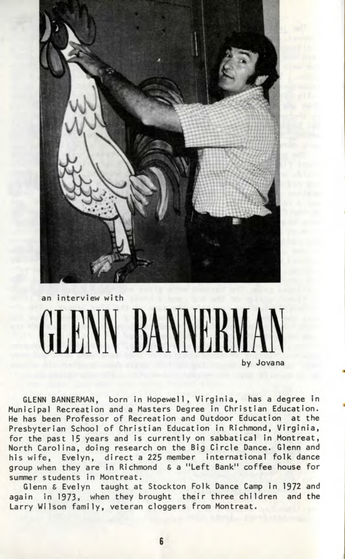

## an interview with **GLENN BANNE** by Jovana

GLENN BANNERMAN, born in Hopewell, Virginia, has a degree in Municipal Recreation and a Masters Degree in Christian Education. He has been Professor of Recreation and Outdoor Education at the Presbyterian School of Christian Education in Richmond, Virginia, for the past 15 years and is currently on sabbatical in Montreat, North Carolina, doing research on the Big Circle Dance. Glenn and his wife, Evelyn, direct a 225 member international folk dance group when they are in Richmond S a "Left Bank11 coffee house for summer students in Montreat.

Glenn & Evelyn taught at Stockton Folk Dance Camp in 1972 and again in 1973, when they brought their three children and the Larry Wilson family, veteran cloggers from Montreat.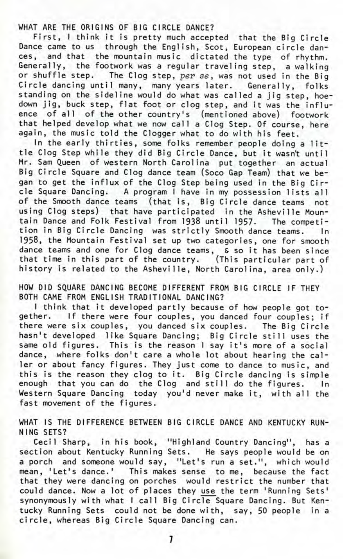WHAT ARE THE ORIGINS OF BIG CIRCLE DANCE?

First, I think it is pretty much accepted that the Big Circle Dance came to us through the English, Scot, European circle dances, and that the mountain music dictated the type of rhythm. Generally, the footwork was a regular traveling step, a walking or shuffle step. The Clog step, per se, was not used in the Big Circle dancing until many, many years later. Generally, folks standing on the sideline would do what was called a jig step, hoedown jig, buck step, flat foot or clog step, and it was the influence of all of the other country's (mentioned above) footwork that helped develop what we now call a Clog Step. Of course, here again, the music told the Clogger what to do with his feet.

In the early thirties, some folks remember people doing a little Clog Step while they did Big Circle Dance, but it wasn't until Mr. Sam Queen of western North Carolina put together an actual Big Circle Square and Clog dance team (Soco Gap Team) that we began to get the influx of the Clog Step being used in the Big Circle Square Dancing. A program I have in my possession lists all of the Smooth dance teams (that is, Big Circle dance teams not using Clog steps) that have participated in the Asheville Mountain Dance and Folk Festival from 1938 until 1957. The competition in Big Circle Dancing was strictly Smooth dance teams. In 1958, the Mountain Festival set up two categories, one for smooth dance teams and one for Clog dance teams, & so it has been since that time in this part of the country. (This particular part of history is related to the Asheville, North Carolina, area only.)

HOW DID SQUARE DANCING BECOME DIFFERENT FROM BIG CIRCLE IF THEY BOTH CAME FROM ENGLISH TRADITIONAL DANCING?

I think that it developed partly because of how people got together. If there were four couples, you danced four couples; if there were six couples, you danced six couples. The Big Circle hasn't developed like Square Dancing; Big Circle still uses the same old figures. This is the reason I say it's more of a social dance, where folks don't care a whole lot about hearing the caller or about fancy figures. They just come to dance to music, and this is the reason they clog to it. Big Circle dancing is simple enough that you can do the Clog and still do the figures. In Western Square Dancing today you'd never make it, with all the fast movement of the figures.

WHAT IS THE DIFFERENCE BETWEEN BIG CIRCLE DANCE AND KENTUCKY RUN-NING SETS?

Cecil Sharp, in his book, "Highland Country Dancing", has a section about Kentucky Running Sets. He says people would be on a porch and someone would say, "Let's run a set.", which would mean, 'Let's dance.1 This makes sense to me, because the fact that they were dancing on porches would restrict the number that could dance. Now a lot of places they use the term 'Running Sets' synonymously with what I call Big Circle Square Dancing. But Kentucky Running Sets could not be done with, say, 50 people in a circle, whereas Big Circle Square Dancing can.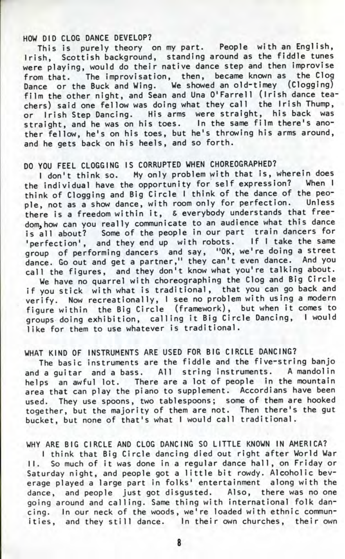## HOW DID CLOG DANCE DEVELOP?

his is purely theory on my part. People with an English, rish, Scottish background, standing around as the fiddle tunes were playing, would do their native dance step and then improvise from that. The improvisation, then, became known as the Clog lance or the Buck and Wing. We showed an old-timey (Clogging) ilm the other night, and Sean and Una O'Farrell (Irish dance teachers) said one fellow was doing what they call the Irish Thump, or Irish Step Dancing. His arms were straight, his back was straight, and he was on his toes. In the same film there's another fellow, he's on his toes, but he's throwing his arms around, and he gets back on his heels, and so forth.

## DO YOU FEEL CLOGGING IS CORRUPTED WHEN CHOREOGRAPHED?

I don't think so. My only problem with that is, wherein does the individual have the opportunity for self expression? When I think of Clogging and Big Circle I think of the dance of the people, not as a show dance, with room only for perfection. Unless there is a freedom within it, S everybody understands that freedom, how can you really communicate to an audience what this dance is all about? Some of the people in our part train dancers for 'perfection', and they end up with robots. If I take the same group of performing dancers and say, "OK, we're doing a street dance. Go out and get a partner," they can't even dance. And you call the figures, and they don't know what you're talking about.

We have no quarrel with choreographing the Clog and Big Circle if you stick with what is traditional, that you can go back and verify. Now recreationally, I see no problem with using a modern figure within the Big Circle (framework), but when it comes to groups doing exhibition, calling it Big Circle Dancing, I would like for them to use whatever is traditional.

## WHAT KIND OF INSTRUMENTS ARE USED FOR BIG CIRCLE DANCING?

The basic instruments are the fiddle and the five-string banjo and a quitar and a bass. All string instruments. A mandolin helps an awful lot. There are a lot of people in the mountain area that can play the piano to supplement. Accordians have been used. They use spoons, two tablespoons; some of them are hooked together, but the majority of them are not. Then there's the gut bucket, but none of that's what I would call traditional.

WHY ARE BIG CIRCLE AND CLOG DANCING SO LITTLE KNOWN IN AMERICA?

I think that Big Circle dancing died out right after World War II. So much of it was done in a regular dance hall, on Friday or Saturday night, and people got a little bit rowdy. Alcoholic beverage played a large part in folks' entertainment along with the dance, and people just got disgusted. Also, there was no one going around and calling. Same thing with international folk dancing. In our neck of the woods, we're loaded with ethnic communities, and they still dance. In their own churches, their own